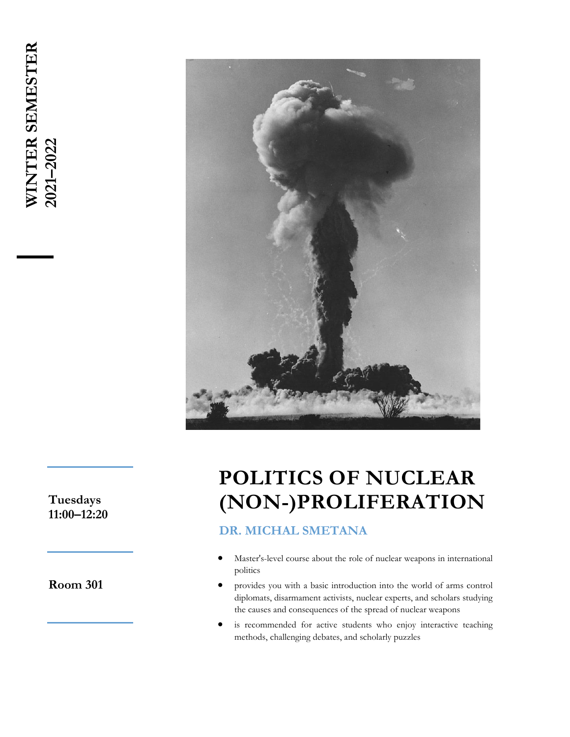

**Tuesdays 11:00–12:20**

**Room 301**

# **POLITICS OF NUCLEAR (NON-)PROLIFERATION**

#### **DR. MICHAL SMETANA**

- Master's-level course about the role of nuclear weapons in international politics
- provides you with a basic introduction into the world of arms control diplomats, disarmament activists, nuclear experts, and scholars studying the causes and consequences of the spread of nuclear weapons
- is recommended for active students who enjoy interactive teaching methods, challenging debates, and scholarly puzzles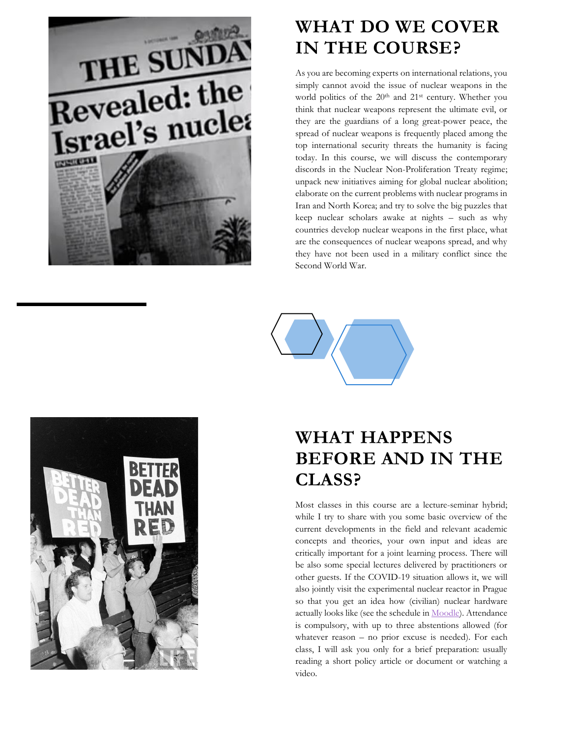

#### **WHAT DO WE COVER IN THE COURSE?**

As you are becoming experts on international relations, you simply cannot avoid the issue of nuclear weapons in the world politics of the 20<sup>th</sup> and 21<sup>st</sup> century. Whether you think that nuclear weapons represent the ultimate evil, or they are the guardians of a long great-power peace, the spread of nuclear weapons is frequently placed among the top international security threats the humanity is facing today. In this course, we will discuss the contemporary discords in the Nuclear Non-Proliferation Treaty regime; unpack new initiatives aiming for global nuclear abolition; elaborate on the current problems with nuclear programs in Iran and North Korea; and try to solve the big puzzles that keep nuclear scholars awake at nights – such as why countries develop nuclear weapons in the first place, what are the consequences of nuclear weapons spread, and why they have not been used in a military conflict since the Second World War.



## **WHAT HAPPENS BEFORE AND IN THE CLASS?**

Most classes in this course are a lecture-seminar hybrid; while I try to share with you some basic overview of the current developments in the field and relevant academic concepts and theories, your own input and ideas are critically important for a joint learning process. There will be also some special lectures delivered by practitioners or other guests. If the COVID-19 situation allows it, we will also jointly visit the experimental nuclear reactor in Prague so that you get an idea how (civilian) nuclear hardware actually looks like (see the schedule in **Moodle**). Attendance is compulsory, with up to three abstentions allowed (for whatever reason – no prior excuse is needed). For each class, I will ask you only for a brief preparation: usually reading a short policy article or document or watching a video.

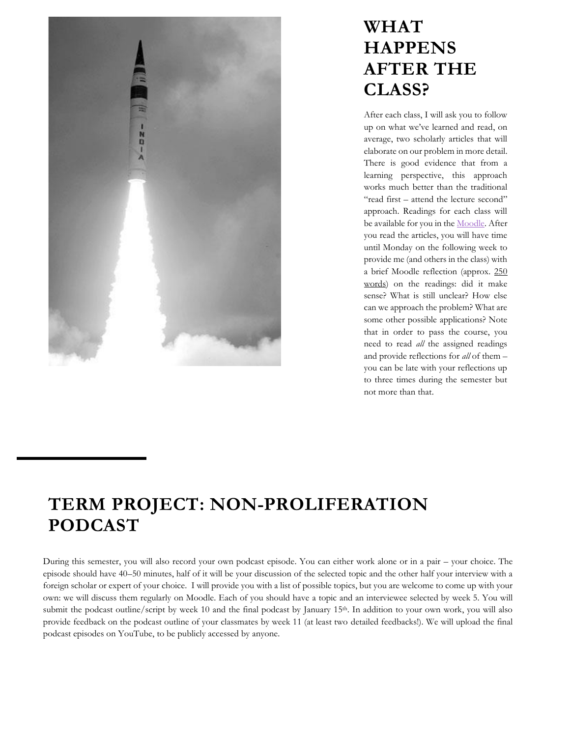

#### **WHAT HAPPENS AFTER THE CLASS?**

After each class, I will ask you to follow up on what we've learned and read, on average, two scholarly articles that will elaborate on our problem in more detail. There is good evidence that from a learning perspective, this approach works much better than the traditional "read first – attend the lecture second" approach. Readings for each class will be available for you in th[e Moodle.](https://dl1.cuni.cz/course/view.php?id=6329) After you read the articles, you will have time until Monday on the following week to provide me (and others in the class) with a brief Moodle reflection (approx. 250 words) on the readings: did it make sense? What is still unclear? How else can we approach the problem? What are some other possible applications? Note that in order to pass the course, you need to read *all* the assigned readings and provide reflections for *all* of them – you can be late with your reflections up to three times during the semester but not more than that.

### **TERM PROJECT: NON-PROLIFERATION PODCAST**

During this semester, you will also record your own podcast episode. You can either work alone or in a pair – your choice. The episode should have 40–50 minutes, half of it will be your discussion of the selected topic and the other half your interview with a foreign scholar or expert of your choice. I will provide you with a list of possible topics, but you are welcome to come up with your own: we will discuss them regularly on Moodle. Each of you should have a topic and an interviewee selected by week 5. You will submit the podcast outline/script by week 10 and the final podcast by January 15<sup>th</sup>. In addition to your own work, you will also provide feedback on the podcast outline of your classmates by week 11 (at least two detailed feedbacks!). We will upload the final podcast episodes on YouTube, to be publicly accessed by anyone.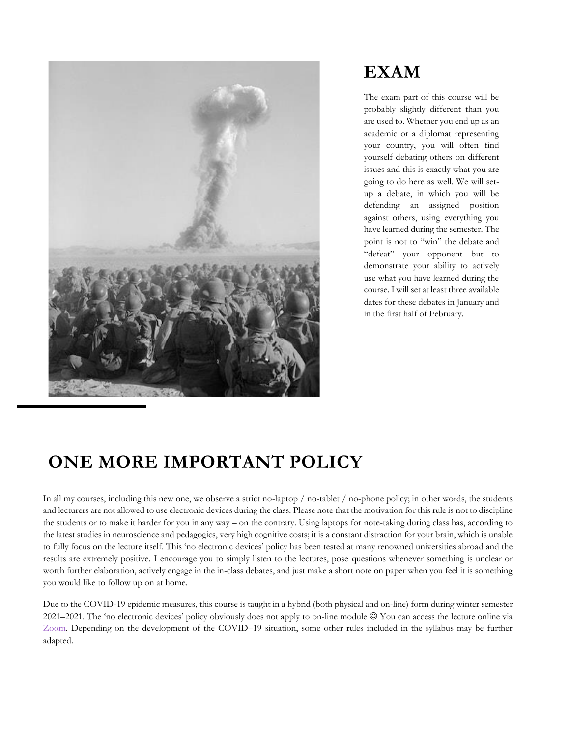

#### **EXAM**

The exam part of this course will be probably slightly different than you are used to. Whether you end up as an academic or a diplomat representing your country, you will often find yourself debating others on different issues and this is exactly what you are going to do here as well. We will setup a debate, in which you will be defending an assigned position against others, using everything you have learned during the semester. The point is not to "win" the debate and "defeat" your opponent but to demonstrate your ability to actively use what you have learned during the course. I will set at least three available dates for these debates in January and in the first half of February.

#### **ONE MORE IMPORTANT POLICY**

In all my courses, including this new one, we observe a strict no-laptop / no-tablet / no-phone policy; in other words, the students and lecturers are not allowed to use electronic devices during the class. Please note that the motivation for this rule is not to discipline the students or to make it harder for you in any way – on the contrary. Using laptops for note-taking during class has, according to the latest studies in neuroscience and pedagogics, very high cognitive costs; it is a constant distraction for your brain, which is unable to fully focus on the lecture itself. This 'no electronic devices' policy has been tested at many renowned universities abroad and the results are extremely positive. I encourage you to simply listen to the lectures, pose questions whenever something is unclear or worth further elaboration, actively engage in the in-class debates, and just make a short note on paper when you feel it is something you would like to follow up on at home.

Due to the COVID-19 epidemic measures, this course is taught in a hybrid (both physical and on-line) form during winter semester 2021–2021. The 'no electronic devices' policy obviously does not apply to on-line module ☺ You can access the lecture online via [Zoom.](https://cuni-cz.zoom.us/j/92236981691?pwd=ZmlVajlnZ3gySTJkaE43a29LVEYyQT09) Depending on the development of the COVID–19 situation, some other rules included in the syllabus may be further adapted.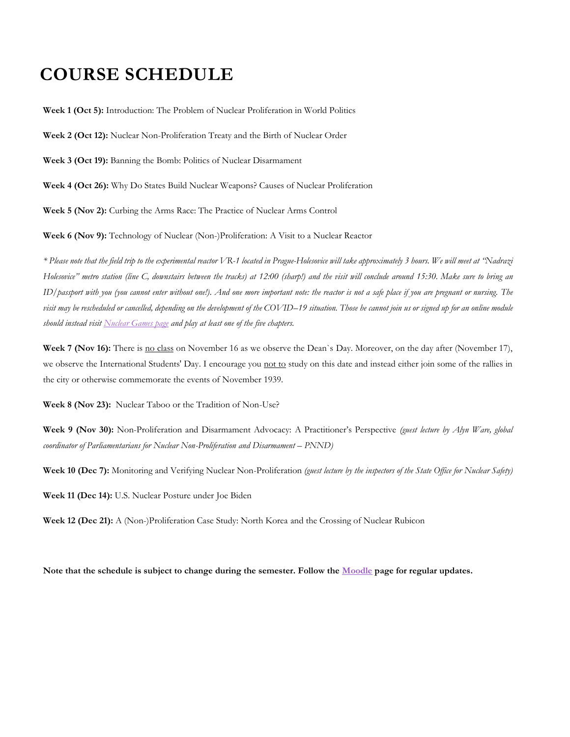#### **COURSE SCHEDULE**

**Week 1 (Oct 5):** Introduction: The Problem of Nuclear Proliferation in World Politics

**Week 2 (Oct 12):** Nuclear Non-Proliferation Treaty and the Birth of Nuclear Order

**Week 3 (Oct 19):** Banning the Bomb: Politics of Nuclear Disarmament

**Week 4 (Oct 26):** Why Do States Build Nuclear Weapons? Causes of Nuclear Proliferation

**Week 5 (Nov 2):** Curbing the Arms Race: The Practice of Nuclear Arms Control

**Week 6 (Nov 9):** Technology of Nuclear (Non-)Proliferation: A Visit to a Nuclear Reactor

*\* Please note that the field trip to the experimental reactor VR-1 located in Prague-Holesovice will take approximately 3 hours. We will meet at "Nadrazi Holesovice" metro station (line C, downstairs between the tracks) at 12:00 (sharp!) and the visit will conclude around 15:30. Make sure to bring an ID/passport with you (you cannot enter without one!). And one more important note: the reactor is not a safe place if you are pregnant or nursing. The visit may be rescheduled or cancelled, depending on the development of the COVID–19 situation. Those he cannot join us or signed up for an online module should instead visit [Nuclear Games page](https://nuclear-games.net/intro) and play at least one of the five chapters.* 

**Week 7 (Nov 16):** There is no class on November 16 as we observe the Dean's Day. Moreover, on the day after (November 17), we observe the International Students' Day. I encourage you not to study on this date and instead either join some of the rallies in the city or otherwise commemorate the events of November 1939.

**Week 8 (Nov 23):** Nuclear Taboo or the Tradition of Non-Use?

**Week 9 (Nov 30):** Non-Proliferation and Disarmament Advocacy: A Practitioner's Perspective *(guest lecture by Alyn Ware, global coordinator of Parliamentarians for Nuclear Non-Proliferation and Disarmament* –  $PNND$ )

**Week 10 (Dec 7):** Monitoring and Verifying Nuclear Non-Proliferation *(guest lecture by the inspectors of the State Office for Nuclear Safety)*

**Week 11 (Dec 14):** U.S. Nuclear Posture under Joe Biden

**Week 12 (Dec 21):** A (Non-)Proliferation Case Study: North Korea and the Crossing of Nuclear Rubicon

**Note that the schedule is subject to change during the semester. Follow the [Moodle](https://dl1.cuni.cz/course/view.php?id=6329) page for regular updates.**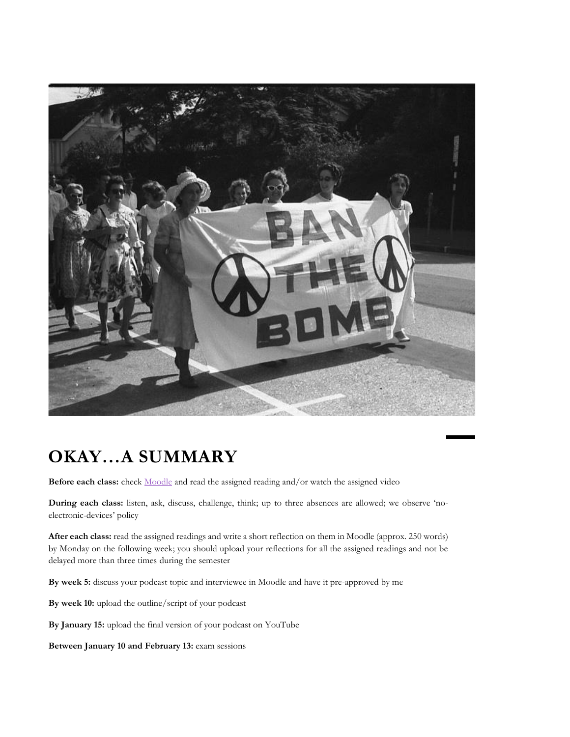

### **OKAY…A SUMMARY**

**Before each class:** check [Moodle](https://dl1.cuni.cz/course/view.php?id=6329) and read the assigned reading and/or watch the assigned video

**During each class:** listen, ask, discuss, challenge, think; up to three absences are allowed; we observe 'noelectronic-devices' policy

**After each class:** read the assigned readings and write a short reflection on them in Moodle (approx. 250 words) by Monday on the following week; you should upload your reflections for all the assigned readings and not be delayed more than three times during the semester

**By week 5:** discuss your podcast topic and interviewee in Moodle and have it pre-approved by me

**By week 10:** upload the outline/script of your podcast

**By January 15:** upload the final version of your podcast on YouTube

**Between January 10 and February 13:** exam sessions